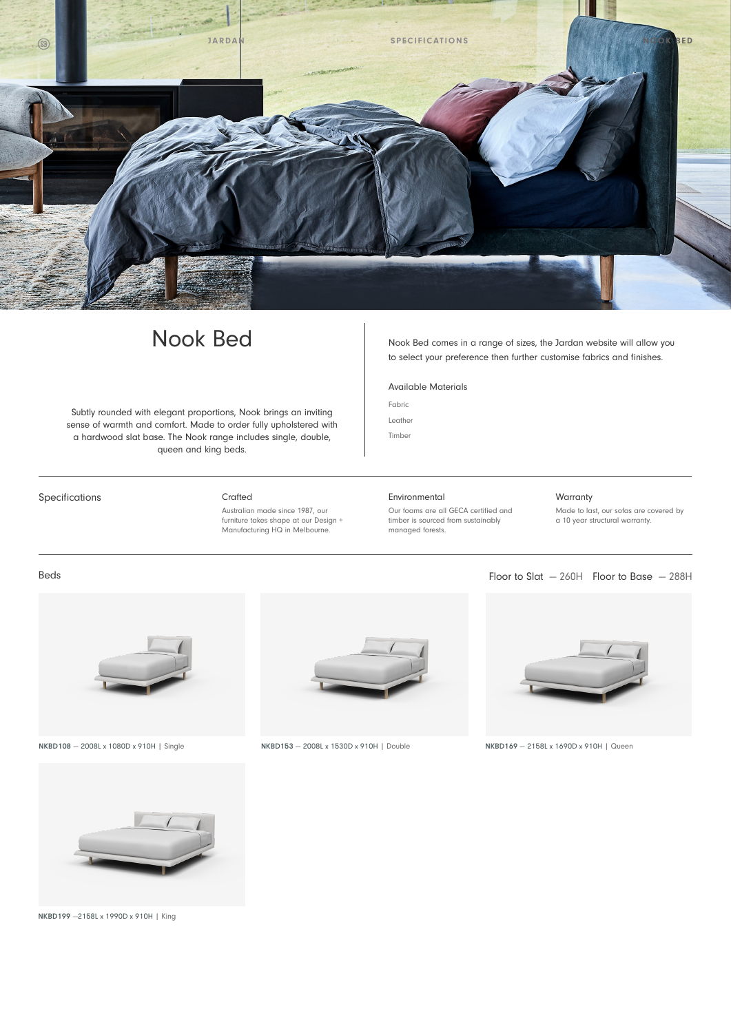

Subtly rounded with elegant proportions, Nook brings an inviting<br>sense of warmth and comfort. Made to experiment with the leather sense of warmth and comfort. Made to order fully upholstered with a hardwood slat base. The Nook range includes single, double, queen and king beds.

Nook Bed Nook Bed comes in a range of sizes, the Jardan website will allow you to select your preference then further customise fabrics and finishes.

Available Materials

Fabric

Timber

Specifications **Crafted** 

Australian made since 1987, our furniture takes shape at our Design + Manufacturing HQ in Melbourne.

Environmental Our foams are all GECA certified and timber is sourced from sustainably managed forests.

## Warranty

Made to last, our sofas are covered by a 10 year structural warranty.

### Beds

![](_page_0_Picture_15.jpeg)

![](_page_0_Picture_17.jpeg)

NKBD108 — 2008L x 1080D x 910H | Single NKBD153 — 2008L x 1530D x 910H | Double NKBD169 — 2158L x 1690D x 910H | Queen

![](_page_0_Picture_19.jpeg)

Floor to Slat  $-260H$  Floor to Base  $-288H$ 

![](_page_0_Picture_21.jpeg)

NKBD199 —2158L x 1990D x 910H | King